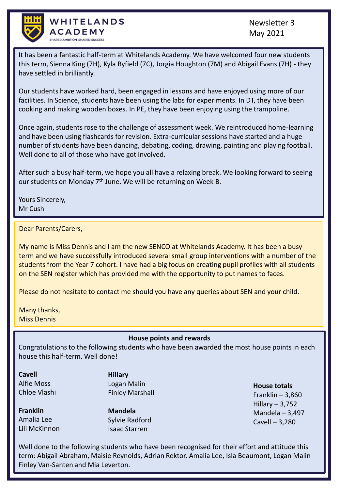

WHITELANDS ACADEMY SHARED AMBITION, SHARED SUCCESS

Newsletter 3 May 2021

It has been a fantastic half-term at Whitelands Academy. We have welcomed four new students this term, Sienna King (7H), Kyla Byfield (7C), Jorgia Houghton (7M) and Abigail Evans (7H) - they have settled in brilliantly.

Our students have worked hard, been engaged in lessons and have enjoyed using more of our facilities. In Science, students have been using the labs for experiments. In DT, they have been cooking and making wooden boxes. In PE, they have been enjoying using the trampoline.

Once again, students rose to the challenge of assessment week. We reintroduced home-learning and have been using flashcards for revision. Extra-curricular sessions have started and a huge number of students have been dancing, debating, coding, drawing, painting and playing football. Well done to all of those who have got involved.

After such a busy half-term, we hope you all have a relaxing break. We looking forward to seeing our students on Monday 7<sup>th</sup> June. We will be returning on Week B.

Yours Sincerely, Mr Cush

### Dear Parents/Carers,

My name is Miss Dennis and I am the new SENCO at Whitelands Academy. It has been a busy term and we have successfully introduced several small group interventions with a number of the students from the Year 7 cohort. I have had a big focus on creating pupil profiles with all students on the SEN register which has provided me with the opportunity to put names to faces.

Please do not hesitate to contact me should you have any queries about SEN and your child.

Many thanks, Miss Dennis

### **House points and rewards**

Congratulations to the following students who have been awarded the most house points in each house this half-term. Well done!

**Cavell** Alfie Moss Chloe Vlashi

**Franklin** Amalia Lee Lili McKinnon **Hillary** Logan Malin Finley Marshall

**Mandela** Sylvie Radford Isaac Starren

**House totals** Franklin  $-3,860$ Hillary – 3,752 Mandela – 3,497 Cavell – 3,280

Well done to the following students who have been recognised for their effort and attitude this term: Abigail Abraham, Maisie Reynolds, Adrian Rektor, Amalia Lee, Isla Beaumont, Logan Malin Finley Van-Santen and Mia Leverton.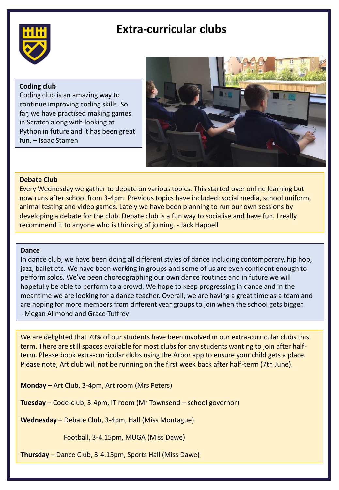## **Extra-curricular clubs**



### **Coding club**

Coding club is an amazing way to continue improving coding skills. So far, we have practised making games in Scratch along with looking at Python in future and it has been great fun. – Isaac Starren



### **Debate Club**

Every Wednesday we gather to debate on various topics. This started over online learning but now runs after school from 3-4pm. Previous topics have included: social media, school uniform, animal testing and video games. Lately we have been planning to run our own sessions by developing a debate for the club. Debate club is a fun way to socialise and have fun. I really recommend it to anyone who is thinking of joining. - Jack Happell

#### **Dance**

In dance club, we have been doing all different styles of dance including contemporary, hip hop, jazz, ballet etc. We have been working in groups and some of us are even confident enough to perform solos. We've been choreographing our own dance routines and in future we will hopefully be able to perform to a crowd. We hope to keep progressing in dance and in the meantime we are looking for a dance teacher. Overall, we are having a great time as a team and are hoping for more members from different year groups to join when the school gets bigger. - Megan Allmond and Grace Tuffrey

We are delighted that 70% of our students have been involved in our extra-curricular clubs this term. There are still spaces available for most clubs for any students wanting to join after halfterm. Please book extra-curricular clubs using the Arbor app to ensure your child gets a place. Please note, Art club will not be running on the first week back after half-term (7th June).

**Monday** – Art Club, 3-4pm, Art room (Mrs Peters)

**Tuesday** – Code-club, 3-4pm, IT room (Mr Townsend – school governor)

**Wednesday** – Debate Club, 3-4pm, Hall (Miss Montague)

Football, 3-4.15pm, MUGA (Miss Dawe)

**Thursday** – Dance Club, 3-4.15pm, Sports Hall (Miss Dawe)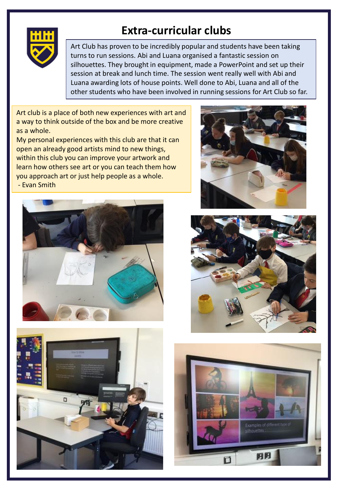

# **Extra-curricular clubs**

Art Club has proven to be incredibly popular and students have been taking turns to run sessions. Abi and Luana organised a fantastic session on silhouettes. They brought in equipment, made a PowerPoint and set up their session at break and lunch time. The session went really well with Abi and Luana awarding lots of house points. Well done to Abi, Luana and all of the other students who have been involved in running sessions for Art Club so far.

Art club is a place of both new experiences with art and a way to think outside of the box and be more creative as a whole.

My personal experiences with this club are that it can open an already good artists mind to new things, within this club you can improve your artwork and learn how others see art or you can teach them how you approach art or just help people as a whole. - Evan Smith









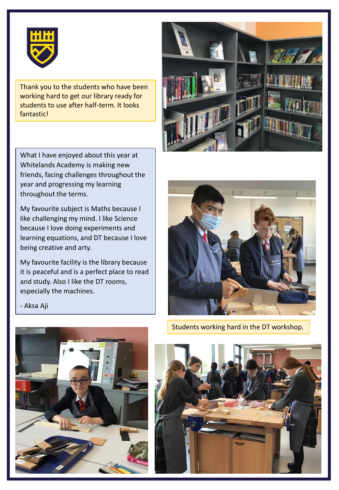

Thank you to the students who have been working hard to get our library ready for students to use after half-term. It looks fantastic!

What I have enjoyed about this year at Whitelands Academy is making new friends, facing challenges throughout the year and progressing my learning throughout the terms.

My favourite subject is Maths because I like challenging my mind. I like Science because I love doing experiments and learning equations, and DT because I love being creative and arty.

My favourite facility is the library because it is peaceful and is a perfect place to read and study. Also I like the DT rooms, especially the machines.



Students working hard in the DT workshop.





- Aksa Aji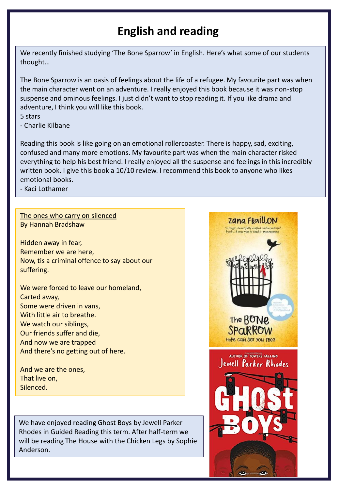# **English and reading**

We recently finished studying 'The Bone Sparrow' in English. Here's what some of our students thought…

The Bone Sparrow is an oasis of feelings about the life of a refugee. My favourite part was when the main character went on an adventure. I really enjoyed this book because it was non-stop suspense and ominous feelings. I just didn't want to stop reading it. If you like drama and adventure, I think you will like this book.

- 5 stars
- Charlie Kilbane

Reading this book is like going on an emotional rollercoaster. There is happy, sad, exciting, confused and many more emotions. My favourite part was when the main character risked everything to help his best friend. I really enjoyed all the suspense and feelings in this incredibly written book. I give this book a 10/10 review. I recommend this book to anyone who likes emotional books.

- Kaci Lothamer

### The ones who carry on silenced By Hannah Bradshaw

Hidden away in fear, Remember we are here, Now, tis a criminal offence to say about our suffering.

We were forced to leave our homeland, Carted away, Some were driven in vans, With little air to breathe. We watch our siblings, Our friends suffer and die, And now we are trapped And there's no getting out of here.

And we are the ones, That live on, Silenced.

We have enjoyed reading Ghost Boys by Jewell Parker Rhodes in Guided Reading this term. After half-term we will be reading The House with the Chicken Legs by Sophie Anderson.